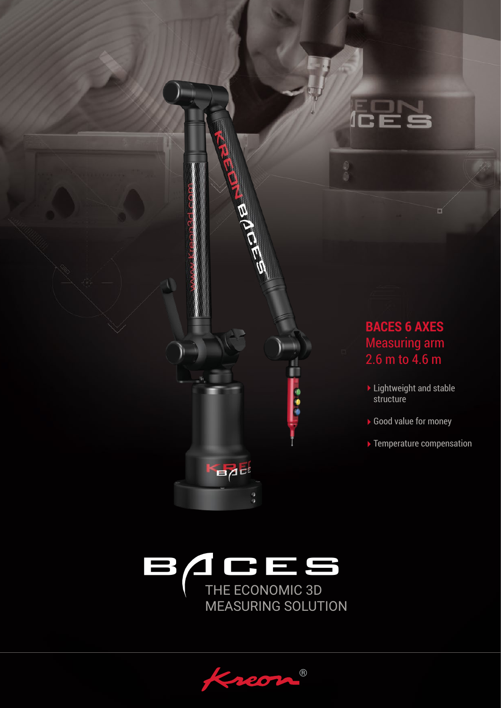



®  $200$